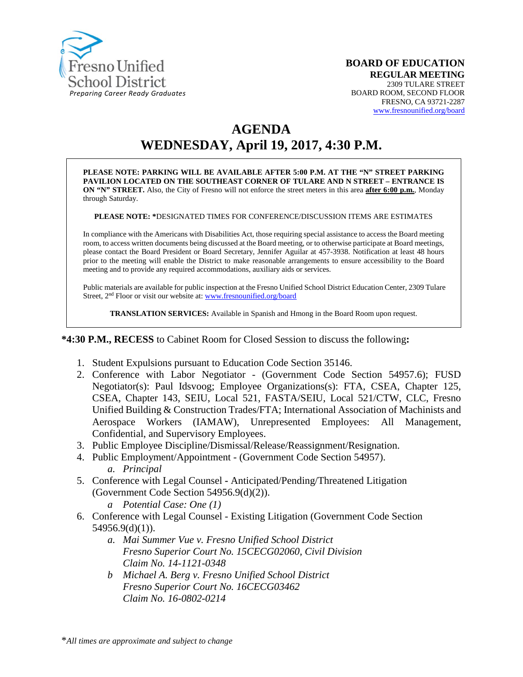

# **AGENDA WEDNESDAY, April 19, 2017, 4:30 P.M.**

**PLEASE NOTE: PARKING WILL BE AVAILABLE AFTER 5:00 P.M. AT THE "N" STREET PARKING PAVILION LOCATED ON THE SOUTHEAST CORNER OF TULARE AND N STREET – ENTRANCE IS ON "N" STREET.** Also, the City of Fresno will not enforce the street meters in this area **after 6:00 p.m.**, Monday through Saturday.

**PLEASE NOTE: \***DESIGNATED TIMES FOR CONFERENCE/DISCUSSION ITEMS ARE ESTIMATES

In compliance with the Americans with Disabilities Act, those requiring special assistance to access the Board meeting room, to access written documents being discussed at the Board meeting, or to otherwise participate at Board meetings, please contact the Board President or Board Secretary, Jennifer Aguilar at 457-3938. Notification at least 48 hours prior to the meeting will enable the District to make reasonable arrangements to ensure accessibility to the Board meeting and to provide any required accommodations, auxiliary aids or services.

Public materials are available for public inspection at the Fresno Unified School District Education Center, 2309 Tulare Street, 2nd Floor or visit our website at: [www.fresnounified.org/board](http://www.fresnounified.org/board)

**TRANSLATION SERVICES:** Available in Spanish and Hmong in the Board Room upon request.

**\*4:30 P.M., RECESS** to Cabinet Room for Closed Session to discuss the following**:**

- 1. Student Expulsions pursuant to Education Code Section 35146.
- 2. Conference with Labor Negotiator (Government Code Section 54957.6); FUSD Negotiator(s): Paul Idsvoog; Employee Organizations(s): FTA, CSEA, Chapter 125, CSEA, Chapter 143, SEIU, Local 521, FASTA/SEIU, Local 521/CTW, CLC, Fresno Unified Building & Construction Trades/FTA; International Association of Machinists and Aerospace Workers (IAMAW), Unrepresented Employees: All Management, Confidential, and Supervisory Employees.
- 3. Public Employee Discipline/Dismissal/Release/Reassignment/Resignation.
- 4. Public Employment/Appointment (Government Code Section 54957). *a. Principal*
- 5. Conference with Legal Counsel **-** Anticipated/Pending/Threatened Litigation (Government Code Section 54956.9(d)(2)). *a Potential Case: One (1)*
- 6. Conference with Legal Counsel Existing Litigation (Government Code Section 54956.9(d)(1)).
	- *a. Mai Summer Vue v. Fresno Unified School District Fresno Superior Court No. 15CECG02060, Civil Division Claim No. 14-1121-0348*
	- *b Michael A. Berg v. Fresno Unified School District Fresno Superior Court No. 16CECG03462 Claim No. 16-0802-0214*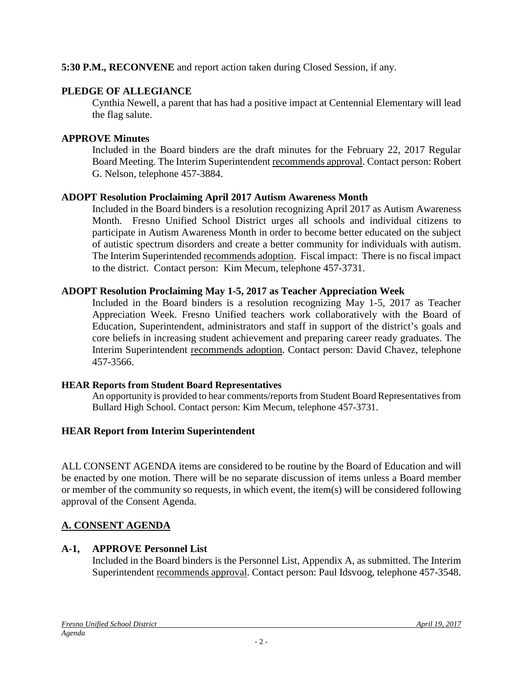## **5:30 P.M., RECONVENE** and report action taken during Closed Session, if any.

## **PLEDGE OF ALLEGIANCE**

Cynthia Newell, a parent that has had a positive impact at Centennial Elementary will lead the flag salute.

## **APPROVE Minutes**

Included in the Board binders are the draft minutes for the February 22, 2017 Regular Board Meeting. The Interim Superintendent recommends approval. Contact person: Robert G. Nelson, telephone 457-3884.

## **ADOPT Resolution Proclaiming April 2017 Autism Awareness Month**

Included in the Board binders is a resolution recognizing April 2017 as Autism Awareness Month. Fresno Unified School District urges all schools and individual citizens to participate in Autism Awareness Month in order to become better educated on the subject of autistic spectrum disorders and create a better community for individuals with autism. The Interim Superintended recommends adoption. Fiscal impact: There is no fiscal impact to the district. Contact person: Kim Mecum, telephone 457-3731.

## **ADOPT Resolution Proclaiming May 1-5, 2017 as Teacher Appreciation Week**

Included in the Board binders is a resolution recognizing May 1-5, 2017 as Teacher Appreciation Week. Fresno Unified teachers work collaboratively with the Board of Education, Superintendent, administrators and staff in support of the district's goals and core beliefs in increasing student achievement and preparing career ready graduates. The Interim Superintendent recommends adoption. Contact person: David Chavez, telephone 457-3566.

## **HEAR Reports from Student Board Representatives**

An opportunity is provided to hear comments/reports from Student Board Representatives from Bullard High School. Contact person: Kim Mecum, telephone 457-3731.

# **HEAR Report from Interim Superintendent**

ALL CONSENT AGENDA items are considered to be routine by the Board of Education and will be enacted by one motion. There will be no separate discussion of items unless a Board member or member of the community so requests, in which event, the item(s) will be considered following approval of the Consent Agenda.

# **A. CONSENT AGENDA**

# **A-1, APPROVE Personnel List**

Included in the Board binders is the Personnel List, Appendix A, as submitted. The Interim Superintendent recommends approval. Contact person: Paul Idsvoog, telephone 457-3548.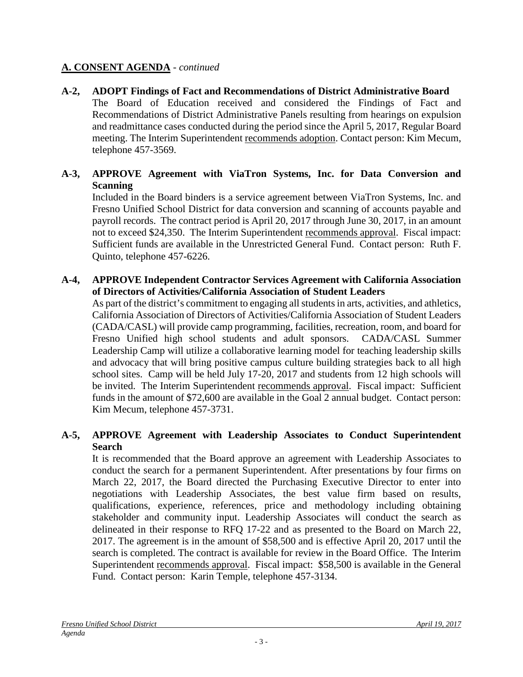## **A. CONSENT AGENDA** - *continued*

**A-2, ADOPT Findings of Fact and Recommendations of District Administrative Board** The Board of Education received and considered the Findings of Fact and Recommendations of District Administrative Panels resulting from hearings on expulsion and readmittance cases conducted during the period since the April 5, 2017, Regular Board meeting. The Interim Superintendent recommends adoption. Contact person: Kim Mecum, telephone 457-3569.

## **A-3, APPROVE Agreement with ViaTron Systems, Inc. for Data Conversion and Scanning**

Included in the Board binders is a service agreement between ViaTron Systems, Inc. and Fresno Unified School District for data conversion and scanning of accounts payable and payroll records. The contract period is April 20, 2017 through June 30, 2017, in an amount not to exceed \$24,350. The Interim Superintendent recommends approval. Fiscal impact: Sufficient funds are available in the Unrestricted General Fund. Contact person: Ruth F. Quinto, telephone 457-6226.

### **A-4, APPROVE Independent Contractor Services Agreement with California Association of Directors of Activities/California Association of Student Leaders**

As part of the district's commitment to engaging all students in arts, activities, and athletics, California Association of Directors of Activities/California Association of Student Leaders (CADA/CASL) will provide camp programming, facilities, recreation, room, and board for Fresno Unified high school students and adult sponsors. CADA/CASL Summer Leadership Camp will utilize a collaborative learning model for teaching leadership skills and advocacy that will bring positive campus culture building strategies back to all high school sites. Camp will be held July 17-20, 2017 and students from 12 high schools will be invited. The Interim Superintendent recommends approval. Fiscal impact: Sufficient funds in the amount of \$72,600 are available in the Goal 2 annual budget. Contact person: Kim Mecum, telephone 457-3731.

## **A-5, APPROVE Agreement with Leadership Associates to Conduct Superintendent Search**

It is recommended that the Board approve an agreement with Leadership Associates to conduct the search for a permanent Superintendent. After presentations by four firms on March 22, 2017, the Board directed the Purchasing Executive Director to enter into negotiations with Leadership Associates, the best value firm based on results, qualifications, experience, references, price and methodology including obtaining stakeholder and community input. Leadership Associates will conduct the search as delineated in their response to RFQ 17-22 and as presented to the Board on March 22, 2017. The agreement is in the amount of \$58,500 and is effective April 20, 2017 until the search is completed. The contract is available for review in the Board Office. The Interim Superintendent recommends approval. Fiscal impact: \$58,500 is available in the General Fund. Contact person: Karin Temple, telephone 457-3134.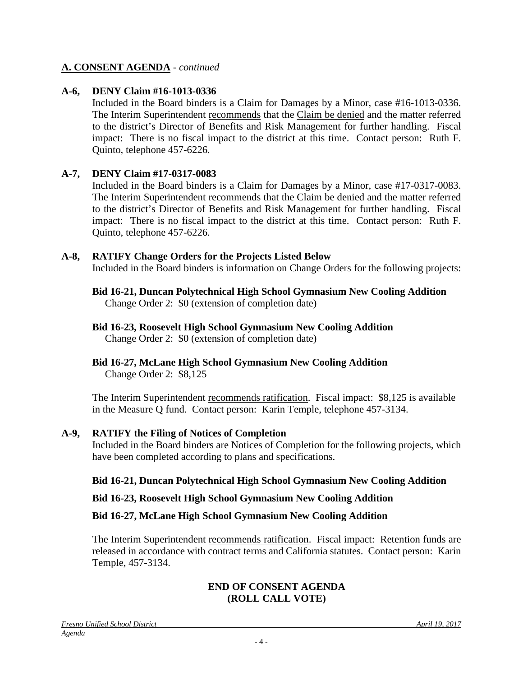### **A. CONSENT AGENDA** - *continued*

### **A-6, DENY Claim #16-1013-0336**

Included in the Board binders is a Claim for Damages by a Minor, case #16-1013-0336. The Interim Superintendent recommends that the Claim be denied and the matter referred to the district's Director of Benefits and Risk Management for further handling. Fiscal impact: There is no fiscal impact to the district at this time. Contact person: Ruth F. Quinto, telephone 457-6226.

### **A-7, DENY Claim #17-0317-0083**

Included in the Board binders is a Claim for Damages by a Minor, case #17-0317-0083. The Interim Superintendent recommends that the Claim be denied and the matter referred to the district's Director of Benefits and Risk Management for further handling. Fiscal impact: There is no fiscal impact to the district at this time. Contact person: Ruth F. Quinto, telephone 457-6226.

### **A-8, RATIFY Change Orders for the Projects Listed Below**

Included in the Board binders is information on Change Orders for the following projects:

# **Bid 16-21, Duncan Polytechnical High School Gymnasium New Cooling Addition**

Change Order 2: \$0 (extension of completion date)

### **Bid 16-23, Roosevelt High School Gymnasium New Cooling Addition**

Change Order 2: \$0 (extension of completion date)

## **Bid 16-27, McLane High School Gymnasium New Cooling Addition**

Change Order 2: \$8,125

The Interim Superintendent recommends ratification. Fiscal impact: \$8,125 is available in the Measure Q fund. Contact person: Karin Temple, telephone 457-3134.

### **A-9, RATIFY the Filing of Notices of Completion**

Included in the Board binders are Notices of Completion for the following projects, which have been completed according to plans and specifications.

### **Bid 16-21, Duncan Polytechnical High School Gymnasium New Cooling Addition**

### **Bid 16-23, Roosevelt High School Gymnasium New Cooling Addition**

### **Bid 16-27, McLane High School Gymnasium New Cooling Addition**

The Interim Superintendent recommends ratification. Fiscal impact:Retention funds are released in accordance with contract terms and California statutes. Contact person: Karin Temple, 457-3134.

### **END OF CONSENT AGENDA (ROLL CALL VOTE)**